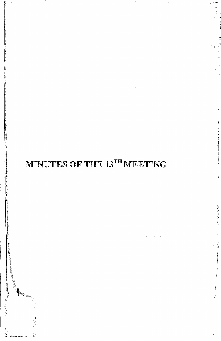# MINUTES OF THE 13TH MEETING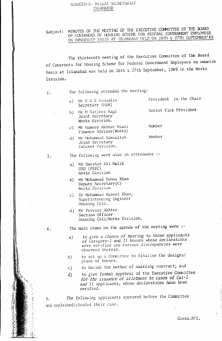## SI'AHEED-E- MILLAT SECRETARIAT ISLAMABAD

Subject: MINUTES OF THE MEETING OF THE EXECUTIVE COMMITTEE OF THE BOARD OF GOVERNORS OF HOUSING SCHEME FOR FEDERAL GOVERNMENT EMPLOYEES ON OWNERSHIP FASIS AT ISLAMARAD HELD ON 26TH & 27TH SEPTEMBER' 89

The thirteenth meeting of the Executive Committee of the Board of Governors for Housing Scheme for Federal Government Fmployees on ownersh basis at Islamabad was held on 26th & 27th September, 1989 in the Works Division.

| 2. |                | The following attended the meeting:                                                                                                                                    |                        |
|----|----------------|------------------------------------------------------------------------------------------------------------------------------------------------------------------------|------------------------|
|    | a)             | Mr S A S Ainuddin<br>Secretary (H&W)                                                                                                                                   | President in the Chair |
| Â. |                | b) Mr M Sirjees Nagi<br>Joint Secretary<br>Works Division.                                                                                                             | Senior Vice President  |
|    | $\mathsf{C}$ ) | Mr Hameed Akhter Niazi<br>Finance Advisor(Works)                                                                                                                       | Mamber                 |
|    | d)             | Mr Mohammad Samiullah<br>Joint Secretary<br>Cabinet Division.                                                                                                          | Member                 |
| 3. |                | The following were also in attendance :-                                                                                                                               |                        |
|    | a)             | Mr Sarshar Ali Malik<br>OSD (P&EC)<br>Works Division                                                                                                                   |                        |
|    | b)             | Mr Mohammad Yunus Khan<br>Deputy Secretary (C)<br>Works Division                                                                                                       |                        |
|    | $\mathsf{C}$ ) | Dr Mohammad Rasool Khan,<br>Superintending Engineer<br>Housing Cell.                                                                                                   |                        |
|    | d)             | Mr Perviez Akhter<br>Section Officer<br>Housing Cell/Works Division.                                                                                                   |                        |
| 4. |                | The main items on the agenda of the meeting were :-                                                                                                                    |                        |
|    | a)             | to give a chance of hearing to those applicants<br>of Category-I and II houses whose declarations<br>were verified and various discrepancies were<br>observed therein. |                        |
|    | b)             | to set up a Committee to finalise the designs/<br>plans of houses.                                                                                                     |                        |
|    | $\mathsf{c})$  | to decide the method of awarding contract; and                                                                                                                         |                        |
|    | $\rm d)$       | to give formal approval of the Executive Committee<br>for the issuance of allotment to cases of Cat-I<br>and II applicants, whose declarations have been<br>verified.  |                        |

5. The following applicants appeared before the Committee and explained/pleaded their case.

Contd. P/2.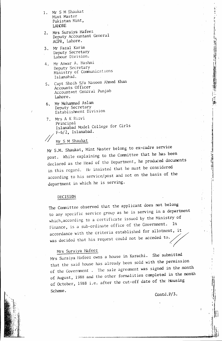- 1. Mr <sup>S</sup> <sup>M</sup> Shaukat Mint Master Pakistan Mint, LAHORE
- 2. Mrs Suraiya Hafeez Deputy Accountant General AGPR. Lahore.
- 3. Mr Fazal Karim Deputy Secretary Labour Divi sion.
- 4. Mr Anwar A. Hashmi Deputy Secretary Ministry of Communications Islamahad.
- Lahore. s. Capt Shoib S/o Naseem Ahmed Khan Accounts Officer<br>Accountant General Punjab
- 6. Mr Mohammad Aslam Deputy Secretary Establishment Division
- 7. Mrs A K Rizvi Principal Islamabad Model College for Girls F-6/2, Islamabad.

Mr S M Shaukat

Mr S.M. Shaukat, Mint Master belong to ex-cadre service post. While explaining to the Committee that he has been declared as the Head of the Department, he produced documents in this regard. He insisted that he must be considered according to his service/post and not on the basis of the department in which he is serving.

#### DECISHDN

The Committee observed that the applicant does not belong to any specific service group as he is serving in a department which, according to a certificate issued by the Ministry of finance. is a sub-ordinate office of the Government. In accordance with the criteria established for allotment, it was decided that his request could not be acceded to.

## Mrs Suraiya Hafeez

Mrs Suraiya Hafeez owns a house in Karachi. She submitted that the said house has already been sold with the permission of the Government. The sale agreement was signed in the month of August, 1988 and the other formalities completed in the month of October, 1988 i.e. after the cut-off date of the Housing Scheme.

Contd.P/3.

j I 'J ł. 1

'I

 $'$  ' $\mathbb{I}$ j

i.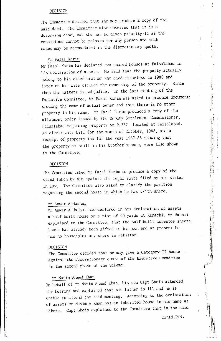#### DECISION

The Committee desired that she may produce a copy of the sale deed. The Committee also observed that it is a deserving case, but she may be given priority-II as the conditions cannot be relaxed for any person and such cases may be accomodated in the discretionary quota.

#### Mr Fazal Karim

Mr Fazal Karim has declared two shared houses at Faisalabad in his declaration of assets. He said that the property actually belong to his elder brother who died issueless in 1980 and later on his wife claimed the ownership of the property. Since then the matters is subjudice. In the last meeting of the Executive Committee, Mr Fazal Karim was asked to produce documents showing the name of actual owner and that there is no other property in his name. Mr Fazal Karim produced a copy of the allotment order issued by the Deputy Settlement Commissioner, Faisalabad regarding property No.P.237 located at Faisalabad. An electricity bill for the month of October, 1988, and a receipt of property tax for the year 1987-88 showing that the property is still in his brother's name, were also shown to the Committee.

#### DECISION

The Committee asked Mr Fazal Karim to produce a copy of the stand taken by him against the legal suite filed by his sister in law. The Committee also asked to clarify the position regarding the second house in which he has 1/4th share.

## Mr Anwar A Hashrni

Mr Anwar A Hashrni has declared in his declaration of assets a half built house on a plot of 90 yards at Karachi. Mr Hashrni explained to the Committee, that the half built asbestos sheeted house has already been gifted to his son and at present he has no house/plot any where in Pakistan.

#### DECISION

The Committee decided that he may give a Category-II house I *against the discretionary* quota of *the* Executive Committee in the second phase of the Scheme.

### Mr Nasim Ahmed Khan

On behalf of Mr Nasim Ahmed Khan, his son Capt Shoib attended the hearing and explained that his father is ill and he is unable to attend the said meeting. According to the declaration of assets Mr Nasim A Khan has an inherited house in his name at Lahore. Capt Shoib explained to the Committee that in the said

Contd.P/4.

 $\Gamma_1$ P H, i r .,

 $\mathbf{a}$ 'I!  $'$   $\cdots$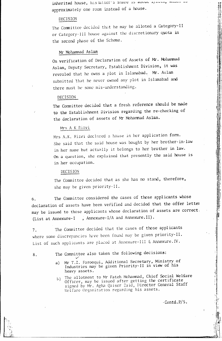inherited house, his ather's share is about realing approximately one room instead of a house.

#### DECISION

The Committee decided that he may be alloted a Category-II or Category-III house against the discretionary quota in the second phase of the Scheme.

#### Mr Mohammad Aslam

On verification of Declaration of Assets of Mr. Mohammad Aslam, Deputy Secretary, Establishment Division, it was revealed that he owns a plot in Islamabad. Mr. Aslam submitted that he never owned any plot in Islamabad and there must be some mis-understanding.

## DECISION

The Committee decided that a fresh reference should be made to the Establishment Division regarding the re-checking of the declaration of assets of Mr Mohammad Aslam.

#### Mrs A K Rizvi

Mrs A.K. Rizvi declared a house in her application form. She said that the said house was bought by her brother-in-law in her name but actually it belongs to her brother in law. On a question, she explained that presently the said house is in her occupation.

#### DECISION

The Committee decided that as she has no stand, therefore, she may be given priority-II.

The Committee considered the cases of those applicants whose 6. declaration of assets have been verified and decided that the offer letter may be issued to those applicants whose declaration of assets are correct. , Annexure-I/A and Annexure.II). (List at Annexure-I

The Committee decided that the cases of those applicants  $7.$ where some discrepancies have been found may be given priority-II. List of such applicants are placed at Annexure-III & Annexure. IV.

8.

The Committee also taken the following decisions:

- Mr T.Z. Farooqui, Additional Secretary, Ministry of  $a)$ Industries may be given Priority-II in view of his heavy assets.
- The allotment to Mr Fateh Mohammad, Chief Social Welfare  $\left\{ \cdot \right\}$ Officer, may be issued after getting the certificate signed by Mr. Agha Qaiser Zaid, Director General Staff Welfare Organization regarding his assets.

 $\cdot$ Contd.  $P/5$ .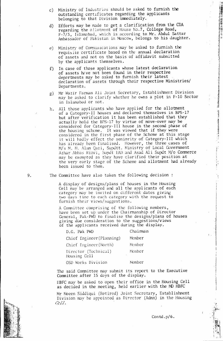- Ministry of Industries should be asked to furnish the outstanding certificates regarding the applicants belonging to that Division inmediately. c)
- Efforts may be mnde to get a clarification from the CDA regarding the allotment of House No.7, College Road, F-7/3, Islamabad, which is according to Mr. Abdul Sattar Ambassador of Pakistan in Moscow, belongs to his daughter. d)
- e) Ministry of Communications may be asked to furnish the requisite certificate based on the annual declaration of assets and not on the basis of affidavit submitted by the applicants themselves.
- In case of those applicants whose latest declaration of assets have not been found in their respective departments may be asked to furnish their latest declaration of assets through their respective Ministries/ Departments. f)
- Mr Wazir Farman Ali Joint Secretary, Establishment Division may be asked to clarify whether he owns a plot in F-IO Sector in Islamabad or not. g)
- All those applicants who have applied for the allotment of a Category-II houses and declared themselves in BPS-17 but after verification it has been established that they actually hold the BPS-17 by virtue of move-over may be considered for Category-III house in the second phase of the housing scheme. It was viewed that if they were considered in the first phase of the Scheme at this stage it will badly effect the seniority of Category-III which has already been finalised. However, the three cases of M/s M. M. Alam Qazi, Supdtt. Ministry of Local Government Azhar /\bbas Rizvi, SurJt fAll and Asad Ali Supdt *~Vo* Commerce may be exempted as they have clarified their position at the very early stage of the Scheme and allotment had already been issued to them. h.

The Committee have also taken the following decision :

A display of designs/plans of houses in the Housing Cell may be arranged and all the applicants of each category may be invited on different dates giving two days time to each category with the request to furnish their views/suggestions.

A Committee comprising of the following members, have been set up under the Chairmanship of Director General, Pak-PWD to finalise the designs/plans of houses giving due consideration to the suggestions/views of the appljcants received during the display.

| D.G. Pak PWD                         | Chairman |
|--------------------------------------|----------|
| Chief Engineer (Planning)            | Member   |
| Chief Engineer (North)               | Member   |
| Director (Technical)<br>Housing Cell | Member   |
| OSD Works Division                   | Member   |

The said Committee may submit its report to the Executive Committee after 15 days of the display.

IIBFCmay be asked to open their office in the Housing Cell as decided in the meeting, held earlier with the MD HBFC

Mr Moeen Siddiqui (Retired) Joint Secretary, Establishment Division may be appointed as Director (Admn) in the Housing *CeJJ.*



Contd .p/6.

! ,j "I

**Manufacture** 

 $\frac{1}{2}$  and  $\frac{1}{2}$ 

- NPC(活) 型ココココ 西部で日本 1.4 - s 1.

:1  $\mathbf{I} = \mathbf{I}$ I I

> i i<br>international ; l ! i ., J **Internet** I I ,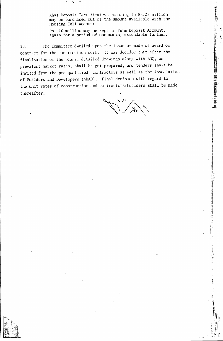Khas Deposit Certificates amounting to Rs. 25 million may be purchased out of the amount available with the Housing Cell Account.

Rs. 10 mill ion may he kept in Term Deposit Account, again for a period of one month, extendable further.

the unit rates of construction and contractors/builders shall be made<br>thereafter. 10. The Committee dwelled upon the issue of mode of award of contract for the construction work. It was decided that after the finalisation of the plans, detailed drawings along with BOQ, on prevalent market rates, shall be got prepared, and tenders shall be invited from the pre-qualified contractors as well as the Association of Builders and Developers (ABAD). Final decision with regard to thereafter.

v

.....;

I . ; I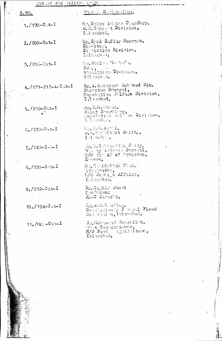| <u>S. NO.</u>                  | Hane Designation.                                                                               |
|--------------------------------|-------------------------------------------------------------------------------------------------|
| $1. / 190 - C_1 t - I$         | Mr. Salim Ather Chaudhey.<br>$0.0.3$ third $\text{Division}$ ,<br>I Amabad.                     |
| $2/(200 - 0a t - I)$           | Mr. Syed Safdar Hussain.<br>$\mathbf{D}_{\text{L}}$ actor.<br>Stabisties Division.<br>Lalambud. |
| $3.7206 - 3at - I$             | Me. Ghales MosterCa.<br>$D \cup \{ \cdot \}$<br>Statistics Division,<br>Tolerando d.            |
| $4. / 171 - 212 - 4 - 04t - I$ | Dr. A. Rassaque Ruk nud Din.<br>Director Grnoral,<br>Population Wilfare Division,<br>In mond.   |
| $5. / 219 - 9$ at-I            | Mr. S.H. Kanon.<br>Joint Secretary, Bivision,<br>L. hanbal.                                     |
| $6. / 237 - 0$                 | Replied. Accord.<br>D. G. Benefahnt Soctt.,<br>Lal mabel.                                       |
| $7. / 249 - 0.15 - 1$          | light, 2 phoghlin Jetty.<br>Day by Auditor Grassal,<br>O/O the AC of Pakiston,<br>Long.         |
| $B_*/250 - 0$ nt-I             | Hellyddollan Eba.<br>van prador.<br>M/O Po eigh Affairs,<br>Lalambad.                           |
| $9. / 232 - 32 + I$            | Dr. Saghir Ahmad<br>$2 - 0.78002$<br>JinG Kaeachi.                                              |
| $10.7194 - 0.1t - I$           | Hr. Abdel 1071101.<br>Countactours Follocal Flood<br>Contraction, Islamabad.                    |
| $11.18 - C_0 t - I$            | Dephonement Nobellin.<br>Mont Condiccionar.<br>M/O Food Ageiaclture,<br>Islandrd.               |
|                                |                                                                                                 |
|                                |                                                                                                 |
|                                |                                                                                                 |

**THE THE STATE OF STRAIGHT** 

三三萬體

お言い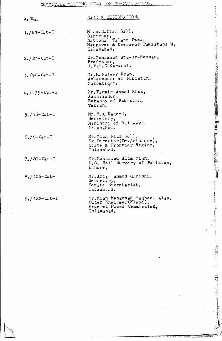MEETING HELD  $\overline{OM}$  $24$  $14.33$ COMMITTEE

计单元 电电子

- 4. 接导 1. 居民科学科

「そのことに、そのことに、「そのこと」ということに、「このこと」ということに、「このこと」ということに、「このこと」ということに、「このこと」ということに、「このこと」ということに、「このこと」という

 $\ddot{\cdot}$ 

| 3.00 <sub>1</sub>           | NAME & DESIGNATION.                                                                                         |
|-----------------------------|-------------------------------------------------------------------------------------------------------------|
| $1. / 81 -$ Cat $-1$        | Mr. A. Sattar Gill,<br>Director,<br>National Talant Pool,<br>Manpower & Overseas Pakistani's,<br>Islanabad. |
| $2$ , $27 -$ Cat-I          | Dr. Mohammad Ata-ur-Rehman,<br>Professor,<br>J. P.M. C. Karachi.                                            |
| $3.790 - \text{Cat} - I$    | Mr.M.Naseer Khan,<br>Anbassador of Pakistan,<br>Mazambique.                                                 |
| $4. / 139 - \text{Cat} - I$ | Mr. Tanvir Ahmad Khan,<br>Ambassador,<br>Enbassy of Pakistan,<br>Tehran.                                    |
| $5. / 46 - \text{Cat} - I$  | Mr. H. A. Hajeed.<br>Secretary,<br>Ministry of Railways,<br>Islamabad.                                      |
| $6. / 8 -$ Cat $-1$         | Mr. Mian Niaz Gull,<br>$Ex.$ Director (Dev/Finance),<br>State & Frontier Region,<br>Islamabad.              |
| $7.70 - \text{Cat} - I$     | Mr. Mohammad Alim Mian,<br>D.G. Soil Survery of Pakistan,<br>Lahore.                                        |
| $8. / 106 -$ Cat-           | Mr. Aziz Ahmed Qureshi.<br>Secretary,<br>Sengte Secretariat,<br>Islanabad.                                  |
| $9$ ./122 - Cat-I           | Mr. Mian Mohammad Maqbool Alan,<br>Chief Engineer(Flood),<br>Federal Flood Commission,<br>Islamabad.        |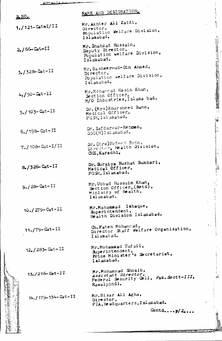| $S_nNOL$                             | NAME AND DESIGNATIO                                                          |
|--------------------------------------|------------------------------------------------------------------------------|
| $1. / 121 - \text{Cat}+I / II$       | Mr. Akhter Ali Zaidi<br>Director,<br>Population Welfare<br>Islamabad.        |
| $2/66 -$ Cat $-II$                   | Mr. Shahzad Hussain,<br>Deputy Director,<br>Population welfare<br>Islamabad. |
| $3.7328 - \text{Cat} - II$           | Mr. Basheer-ud-Din<br>Director,<br>Population welfare<br>Islamabad.          |
| $4. / 50 - \text{Cat} - 11$          | Mr.Mohammad Hasin<br>Section Officer,<br>M/O Industries, Isl                 |
| $5. / 103 - Cat - II$                | Dr. (Mrs) Khursheed<br>Medical Officer,<br>FGSH, Islamabad.                  |
| $6.198 - Cat - II$                   | Dr. Safdar-ur-Rehm<br>DDG(H)Islamabad.                                       |
| $7./108 - Cat - I/II$                | Dr. (Mrs) Nafees Ba<br>Director, Health<br>CHE, Karachi,                     |
| 8./326-Cat-II                        | Dr. Suraiya Nuzhat<br>Medical Officer,<br>FGSH, Islamabad.                   |
| $9.728 - Cat - II$                   | Mr. Ubbad Hussain<br>Section Officer,<br>Ministry of Heal<br>Islamabad.      |
| $10.7279 - \text{Cat} - 11$          | Mr.Mohammad Ish<br>Superintendent,<br>Health Division                        |
| $11.79 - Cat - II$                   | Ch. Fateh Mohamma<br>Director Staff W<br>Islamabad.                          |
| $12. / 283 -$ Cat-II                 | Mr.Mohammad Tuf<br>Superintendent,<br>Prime Minister'<br>Islamabad.          |
| $13. / 216 - \text{Cat} - \text{II}$ | Mr. Mohammad Sho<br>Assistant Direc<br>Federal Securit<br>Rawalpindi.        |
| $14. / 179 - 134 - Cat - II$         | Mr. Nisar Ali Ag<br>Director,<br>FIA, Headquarter                            |
| <b>ACCESS</b>                        |                                                                              |

lfare Division, ssain, or,

liare Division,

Zaidi,

 $l$ -Din Ahmed, lfare Division,

Hasin Khan, cer, es, Islama bad.

sheed Bano,  $cer,$  $ad_{\bullet}$ 

 $-R$ e h $R$ n,  $h$ bad.

 $\mathfrak{so}$  Bano, alth Division,

Nuzhat Bukhari, icer,  $bad.$ 

ssain Khan,  $i$  cer, (Retd) . He alth,

i Ishaque, dent, ision Islamabad.

ohammad, binamica,

d Tufail.  $a$ <sub>perintendent</sub>, Superintentation Secretar

d Shoaib, *Assistant Director,*<br>Federal Security *Cell, Pak.Sectt-II* 

 $Li$  Agha, arters, Islamabad.

Contd....p/2....

." I .1 I

计数据程序

计电话

御霊

T

l.<br>F

\

!<br>ন্য

 $\frac{1}{\frac{1}{\frac{1}{\frac{1}{\frac{1}{\cdots}}}}\frac{1}{\frac{1}{\cdots}}}}\frac{\frac{1}{\cdots}}{\frac{1}{\cdots}}$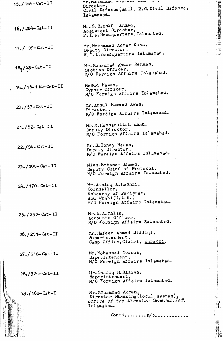| $15. / 164 - \text{Cat} - II$     | ML* MOUTHWER STETS<br>Director,<br>Civil Defence (A&C), B. G. Civil Defence<br>Islamabad.                                        |
|-----------------------------------|----------------------------------------------------------------------------------------------------------------------------------|
| $16. / 284 -$ Cat-II              | Mr. S. Bashir Ahmed,<br>Assistant Director,                                                                                      |
|                                   | F. I. A. Headquarters, Islamabad.                                                                                                |
| $17. / 199 - \text{Cat} - II$     | Mr. Mohammad Akbar Khan,<br>Daputy Director,<br>F. I.A. Headquarters Islamabad.                                                  |
| $18$ <sub>2</sub> /25 - Cat - II  | Mr. Mohammad Abdur Rehman,<br>Section Officer,<br>M/O Foreign Affairs Islamabad.                                                 |
| $19.16 - 114 - Cat - II$          | Masud Hasan,<br>Cypher Officer,<br>M/O Foreign Affairs Islamabad.                                                                |
| $20. / 57 -$ Cat-II               | Mr. Abdul Hamsed Awan,<br>Director,<br>M/O Fordign Affairs Islamabad.                                                            |
| $21. / 62 -$ Cat-II               | Mr. M. Hassanullah Khop,<br>Deputy Director,<br>M/O Foreign Affairs Islamabad.                                                   |
| $22.94$ Cat-II                    | Mr. S. Ibney Hasan,<br>Deputy Director,<br>M/O Fereign Affairs Islamabad.                                                        |
| $23.100 - \text{Cat} - \text{II}$ | Miss. Rehana? Ahmed,<br>Deputy Chief of Protocol.<br>M/O Foreign Affairs Islamabad.                                              |
| $24. / 170 -$ Cat-II              | Mr. Akhlaq A. Hashmi,<br>Counsellor,<br>Embassay of Pakistan,<br>Abu $D_{\text{hab1}}(U.A.E.)$<br>M/O Foreign Affairs Islamabad. |
| $25. / 232 -$ Cat-II              | Mr. B. A. M011k,<br>Accounts Officer,<br>M/O Foreign Affairs Aslamabad.                                                          |
| $26. / 251 - Cat - II$            | Mr. Hafeez Ahmed Siddiqi,<br>Superintendent,<br>Camp Office, Giziri, Karachi.                                                    |
| $27. / 318 -$ Cat-II              | Mr. Mohammad Younus,<br>Superintendent,<br>M/O Foreign Affairs Islamabad.                                                        |
| $28/324 -$ Cat-II                 | Mr. Shafiq H. Rizivo,<br>Superintendent,<br>M/O Foreign Affairs Islamabad.                                                       |
| 29./168-Cat-I                     | Mr. Mohammad Akran,<br>$\mathbf{u}_{\text{unmutative}}(l_{\text{local}})$ ever and                                               |

Mr. MOhammad Akran, Director Hbonning(Local system), *of:[l ce of the D1rt1ctor General, T&T,*  $\verb|Islambda|$ 

.t!" •.

**MARK PARTIES IN 1979** 

I ,4

> and the light of the light of the light of the light of the light of the light of the light of the light of th<br>In the light of the light of the light of the light of the light of the light of the light of the light of the<br> j \ I 1

\ ,~ i<br>I I

 $\begin{minipage}{.4\linewidth} \begin{minipage}{.4\linewidth} \hline \textbf{0.4\linewidth} & \textbf{0.4\linewidth} \end{minipage} \begin{minipage}{.4\linewidth} \begin{minipage}{.4\linewidth} \begin{minipage}{.4\linewidth} \hline \textbf{1.4\linewidth} & \textbf{0.4\linewidth} \end{minipage} \end{minipage} \begin{minipage}{.4\linewidth} \begin{minipage}{.4\linewidth} \hline \textbf{1.4\linewidth} & \textbf{1.4\linewidth} \end{minipage} \end{minipage} \begin{minipage}{.4\linewidth} \begin{minipage}{.4\linewidth} \hline \text$ 

Contd........**p**/3...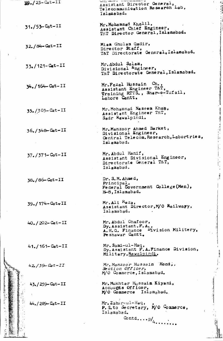|      | $39.723 - \text{Cat} - \overline{11}$ | <b>WELL O MEASURE &amp; A THAT A RESTORATION OF B</b><br>Assistant Director General,<br>Telecommunication Research Lab,<br>Ialamabad. |
|------|---------------------------------------|---------------------------------------------------------------------------------------------------------------------------------------|
|      | $31. / 53 -$ Cat-II                   | Mr. Mohammad Khalil.<br>Assistant Chief Engineer,<br>T&T Director General, Islamabad.                                                 |
|      | 32./84-Cat-II                         | Mian Ghulam Qadir,<br>Director Staff,<br>T&T Directorate General, Islamabad.                                                          |
|      | $33. / 121 - \text{Cat} - II$         | Mr. Abdul Salam,<br>Divisional Engineer,<br>T&T Directorate General, Islamabad.                                                       |
|      | 34./164-Cat-II                        | Mr. Fazal Hussain Ch.,<br>Assistant Engineer T&T,<br>Training RTTS., Shar-c-Tufail,<br>Lahore Cantt.                                  |
|      | $35. / 303 - Cat - II$                | Mr. Mohammad Naseem Khap.<br>Assistant Engineer T&T,<br>Sadr Rawalpindi.                                                              |
|      | $36. / 348 - \text{Cat} - II$         | Mr. Manzoor Ahmed Barket,<br>Divisional Engineer,<br>Central Telecom. Rosearch, Labortries,<br>Islamabad.                             |
|      | 37./371-Cat-II                        | Mr. Abdul Hanif,<br>Assistant Divisional Engineer,<br>Directorate General T&T.<br>Islamabad.                                          |
|      | 38./86-Cat-II                         | Dr. S. M. Ahmed.<br>Principle.<br>Federal Covernment College (Men),<br>H-8, Islamabad.                                                |
|      | $39. / 174 - \text{Cat} - II$         | $Mr$ . Ali $Ra$ .<br>Assistant Director, M/O Railwayy,<br>Islamabad.                                                                  |
|      | $40. / 202 - \text{Cat} - II$         | Mr. Abdul Ghafoor,<br>$Dy.$ Assistant. $F.A.$ ,<br>A.H.Q. Finance Division Militery,<br>Peshawar Cantt.                               |
|      | $41. / 161 - \text{Cat} - II$         | Mr. Sami-ul-Haq.<br>Dy. Assistant F. A. Finance Division,<br>Military, Rawalpindi.                                                    |
|      | $42/39 -$ Cat-II                      | Mr. Manzoor Hussain Hont,,<br>Section Officer,<br>M/O Commerce, Islamabad.                                                            |
|      | 43./259-Cat-II                        | Mr. Mukhtar Hussain Kiyani,<br>Accounts Officer,<br>M/O Commerce Islamabad.                                                           |
| 「三つ身 | $44. / 289 -$ Cat-II                  | Mr. Zahir-ul-Haq,<br>P. S.to Secretary, M/O Commerce,<br>Islamabad.<br>Contd $p/_{4}$                                                 |
|      |                                       |                                                                                                                                       |

 $\bar{t}$ 

 $\ddot{\phantom{0}}$ 

 $\frac{1}{2}$ 

**Contract of the Contract of the Contract of the Contract of the Contract of the Contract of the Contract of the Contract of the Contract of the Contract of the Contract of the Contract of the Contract of the Contract of t** 

 $\label{eq:1} \mathbb{E}_{\mathbf{z}} \left[ \begin{array}{cccccccccc} \mathbb{E}_{\mathbf{z}} & \mathbb{E}_{\mathbf{z}} & \mathbb{E}_{\mathbf{z}} & \mathbb{E}_{\mathbf{z}} & \mathbb{E}_{\mathbf{z}} & \mathbb{E}_{\mathbf{z}} \\ \mathbb{E}_{\mathbf{z}} & \mathbb{E}_{\mathbf{z}} & \mathbb{E}_{\mathbf{z}} & \mathbb{E}_{\mathbf{z}} & \mathbb{E}_{\mathbf{z}} & \mathbb{E}_{\mathbf{z}} \end{array} \right] \end{array}$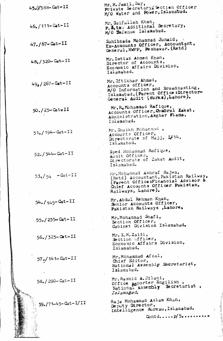| 45//388-Cat-II                      | Mr. M. Jamil, Dar,<br>Private Secretary Section Officer<br>M/O Water and Power, Islamabad.                                                                        |
|-------------------------------------|-------------------------------------------------------------------------------------------------------------------------------------------------------------------|
| $46. / 111 - Cat - II$              | Mr. Saifullah Khan,<br>P. S. too Additional Secretary,<br>M/O ference Islamabad.                                                                                  |
| $47. / 67 - Cat - II$               | Sahibzada Mohammad Junaid,<br>Ex-Accounts Officer, Accountant,<br>General, NWFP, Peshawar. (Retd)                                                                 |
| $48, /320 - \text{Cat} - \text{II}$ | Mr. Imtiaz Ahmed Khan,<br>Director of Accounts,<br>. Economic Affairs Division,<br>Islamabad.                                                                     |
| $499/267 - Cat - II$                | Mr. Iftikhar Ahmad,<br>Accounts officer,<br>M/O Information and Broadcasting,<br>Islamabad, (Parent Office: Director-<br>General Audit (Works), Lahore).          |
| 50./25-CatvII                       | Mr. R. Mohammad Rafique,<br>Accounts Officer, Condrol Zakat,<br>Administration, Asghar Flans,<br>Islamabad.                                                       |
| $51. / 194 - \text{Cat} - II$       | Mr. Shaikh Mohammad,<br>Accounts Officer,<br>Directorate of Hajj, 1/14,<br>Islamabad.                                                                             |
| 52./344-Cat-II                      | Syed Mohammad Rafique,<br>Audit Officer,<br>Directorate of Zakat Audit,<br>Islamabad.                                                                             |
| $53\sqrt{54}$ -Cat-II               | Mr. Mohammad Ashraf Bajwa,<br>(Retd) Accountant, Pakistan Railway<br>(Parent Office;Financial Advisor &<br>Chief Accounts Officer Pakistan,<br>Railways, Lahore). |
| $54. / 145 -$ Cat-II                | Mr. Abdul Rehman Khan,<br>Senior Accounts Officer,<br>Pakistan Railways, Lahore,                                                                                  |
| 55./255-Cat-II                      | Mr. Mohammad Shafi,<br>Section Officer.<br>Cabinet Division Islamabad.                                                                                            |
| 56./325-Cat-II                      | Mr. S.M.Zaidi,<br>Section Officer.<br>Economic Affairs Division,<br>Islamabad.                                                                                    |
| $57$ $\epsilon$ / 141 - Cat-II      | Mr. Mohammad Afzal,<br>Chief Editor.<br>National Assembly Secretariat,<br>Islamabad.                                                                              |
| 58./290-Cat-II                      | Mr. Rashid A. Jilani,<br>Office Reporter Engilish,<br>National Asserbly Secretariat.<br>Islamahad.                                                                |
| 59./71-45-Cat-I/II                  | Raja Mohammad Aslam Khan,<br>Deputy Director,<br>Intelligence Bureau, Islamabad.                                                                                  |
|                                     | $\text{Contd.} \ldots p/5 \ldots$                                                                                                                                 |

 $\oint_{\mathbb{R}}$ 

ś

 $\frac{1}{2}$ 

 $\label{eq:1} \frac{1}{2} \int_{\mathbb{R}^2} \frac{1}{2} \int_{\mathbb{R}^2} \frac{1}{2} \int_{\mathbb{R}^2} \frac{1}{2} \int_{\mathbb{R}^2} \frac{1}{2} \int_{\mathbb{R}^2} \frac{1}{2} \int_{\mathbb{R}^2} \frac{1}{2} \int_{\mathbb{R}^2} \frac{1}{2} \int_{\mathbb{R}^2} \frac{1}{2} \int_{\mathbb{R}^2} \frac{1}{2} \int_{\mathbb{R}^2} \frac{1}{2} \int_{\mathbb{R}^2} \frac{1$ 

化双重 人名法斯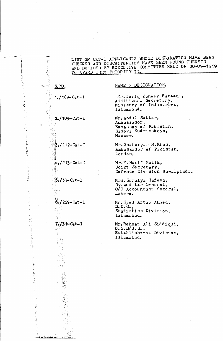

AND DECIDED BY EXECUTIVE COMMITTEE HELD ON 28-09-1989